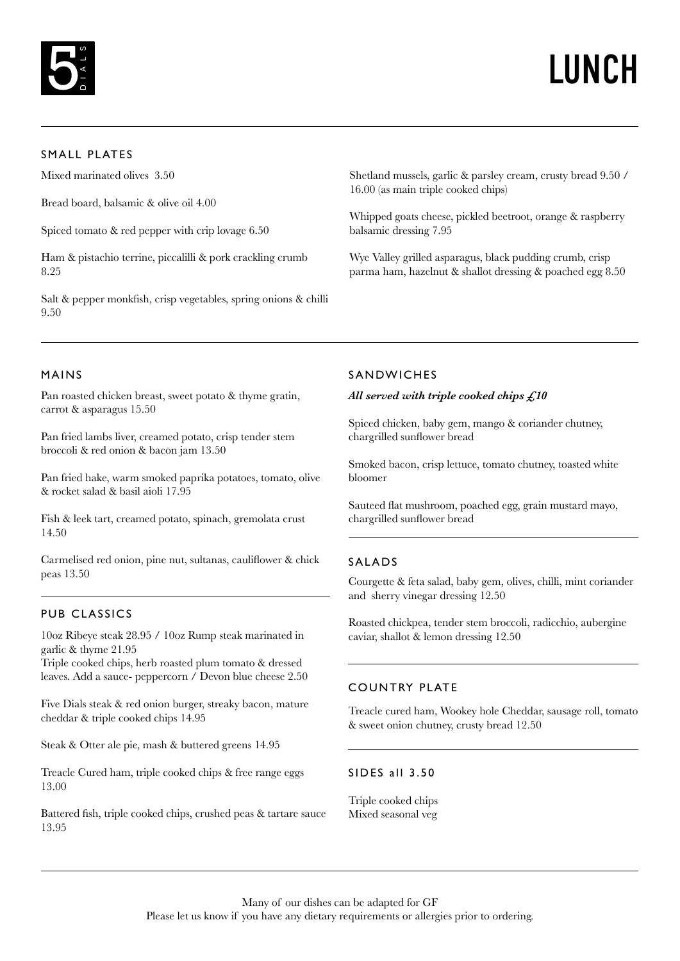

## LUNCH

## SMALL PLATES

Mixed marinated olives 3.50

Bread board, balsamic & olive oil 4.00

Spiced tomato & red pepper with crip lovage 6.50

Ham & pistachio terrine, piccalilli & pork crackling crumb 8.25

Salt & pepper monkfish, crisp vegetables, spring onions & chilli 9.50

Shetland mussels, garlic & parsley cream, crusty bread 9.50 / 16.00 (as main triple cooked chips)

Whipped goats cheese, pickled beetroot, orange & raspberry balsamic dressing 7.95

Wye Valley grilled asparagus, black pudding crumb, crisp parma ham, hazelnut & shallot dressing & poached egg 8.50

#### MAINS

Pan roasted chicken breast, sweet potato & thyme gratin, carrot & asparagus 15.50

Pan fried lambs liver, creamed potato, crisp tender stem broccoli & red onion & bacon jam 13.50

Pan fried hake, warm smoked paprika potatoes, tomato, olive & rocket salad & basil aioli 17.95

Fish & leek tart, creamed potato, spinach, gremolata crust 14.50

Carmelised red onion, pine nut, sultanas, cauliflower & chick peas 13.50

## PUB CLASSICS

10oz Ribeye steak 28.95 / 10oz Rump steak marinated in garlic & thyme 21.95

Triple cooked chips, herb roasted plum tomato & dressed leaves. Add a sauce- peppercorn / Devon blue cheese 2.50

Five Dials steak & red onion burger, streaky bacon, mature cheddar & triple cooked chips 14.95

Steak & Otter ale pie, mash & buttered greens 14.95

Treacle Cured ham, triple cooked chips & free range eggs 13.00

Battered fish, triple cooked chips, crushed peas & tartare sauce 13.95

## SANDWICHES

#### *All served with triple cooked chips £10*

Spiced chicken, baby gem, mango & coriander chutney, chargrilled sunflower bread

Smoked bacon, crisp lettuce, tomato chutney, toasted white bloomer

Sauteed flat mushroom, poached egg, grain mustard mayo, chargrilled sunflower bread

#### SALADS

Courgette & feta salad, baby gem, olives, chilli, mint coriander and sherry vinegar dressing 12.50

Roasted chickpea, tender stem broccoli, radicchio, aubergine caviar, shallot & lemon dressing 12.50

## COUNTRY PLATE

Treacle cured ham, Wookey hole Cheddar, sausage roll, tomato & sweet onion chutney, crusty bread 12.50

#### SIDES all 3.50

Triple cooked chips Mixed seasonal veg